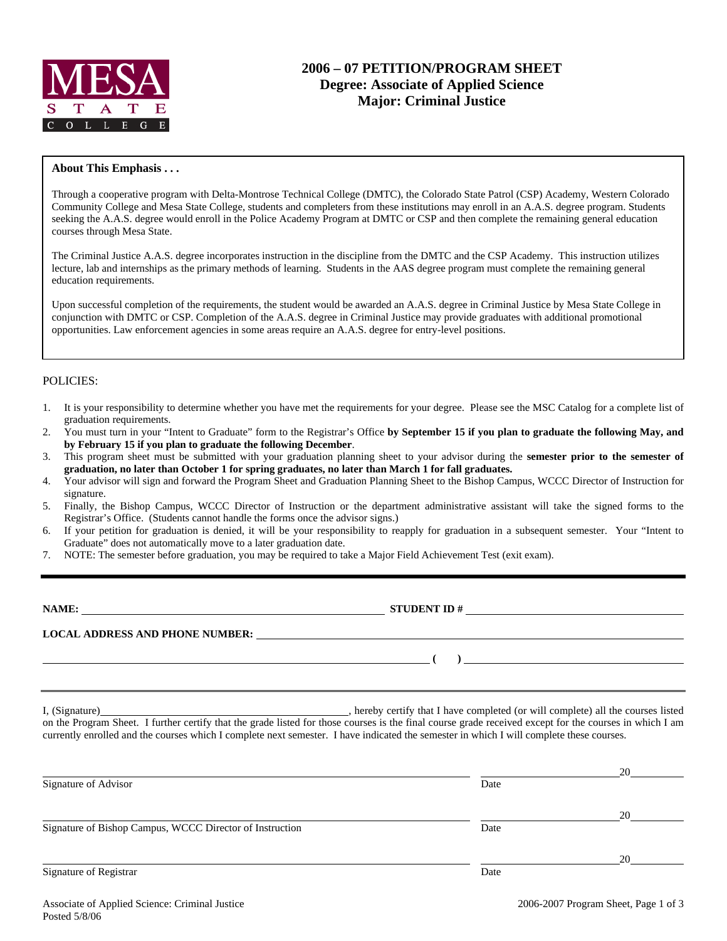

# **2006 – 07 PETITION/PROGRAM SHEET Degree: Associate of Applied Science Major: Criminal Justice**

### **About This Emphasis . . .**

Through a cooperative program with Delta-Montrose Technical College (DMTC), the Colorado State Patrol (CSP) Academy, Western Colorado Community College and Mesa State College, students and completers from these institutions may enroll in an A.A.S. degree program. Students seeking the A.A.S. degree would enroll in the Police Academy Program at DMTC or CSP and then complete the remaining general education courses through Mesa State.

The Criminal Justice A.A.S. degree incorporates instruction in the discipline from the DMTC and the CSP Academy. This instruction utilizes lecture, lab and internships as the primary methods of learning. Students in the AAS degree program must complete the remaining general education requirements.

Upon successful completion of the requirements, the student would be awarded an A.A.S. degree in Criminal Justice by Mesa State College in conjunction with DMTC or CSP. Completion of the A.A.S. degree in Criminal Justice may provide graduates with additional promotional opportunities. Law enforcement agencies in some areas require an A.A.S. degree for entry-level positions.

### POLICIES:

- 1. It is your responsibility to determine whether you have met the requirements for your degree. Please see the MSC Catalog for a complete list of graduation requirements.
- 2. You must turn in your "Intent to Graduate" form to the Registrar's Office **by September 15 if you plan to graduate the following May, and by February 15 if you plan to graduate the following December**.
- 3. This program sheet must be submitted with your graduation planning sheet to your advisor during the **semester prior to the semester of graduation, no later than October 1 for spring graduates, no later than March 1 for fall graduates.**
- 4. Your advisor will sign and forward the Program Sheet and Graduation Planning Sheet to the Bishop Campus, WCCC Director of Instruction for signature.
- 5. Finally, the Bishop Campus, WCCC Director of Instruction or the department administrative assistant will take the signed forms to the Registrar's Office. (Students cannot handle the forms once the advisor signs.)
- 6. If your petition for graduation is denied, it will be your responsibility to reapply for graduation in a subsequent semester. Your "Intent to Graduate" does not automatically move to a later graduation date.
- 7. NOTE: The semester before graduation, you may be required to take a Major Field Achievement Test (exit exam).

| NAME:<br><u> 1980 - Jan Salam Barat, masjid a shekara ta 1980 a shekara ta 1980 a shekara ta 1980 a shekara ta 1980 a shek</u> | <b>STUDENT ID#</b>                                      | <u> 1989 - Jan Sterling Sterling, amerikansk politik (</u> |
|--------------------------------------------------------------------------------------------------------------------------------|---------------------------------------------------------|------------------------------------------------------------|
| <b>LOCAL ADDRESS AND PHONE NUMBER:</b>                                                                                         | <u> 1989 - John Stone, Amerikaans en Stone († 1989)</u> |                                                            |
|                                                                                                                                |                                                         |                                                            |
|                                                                                                                                |                                                         |                                                            |

I, (Signature) hereby certify that I have completed (or will complete) all the courses listed on the Program Sheet. I further certify that the grade listed for those courses is the final course grade received except for the courses in which I am currently enrolled and the courses which I complete next semester. I have indicated the semester in which I will complete these courses.

|                                                          |      | 20 |
|----------------------------------------------------------|------|----|
| Signature of Advisor                                     | Date |    |
|                                                          |      | 20 |
| Signature of Bishop Campus, WCCC Director of Instruction | Date |    |
|                                                          |      | 20 |
| Signature of Registrar                                   | Date |    |
|                                                          |      |    |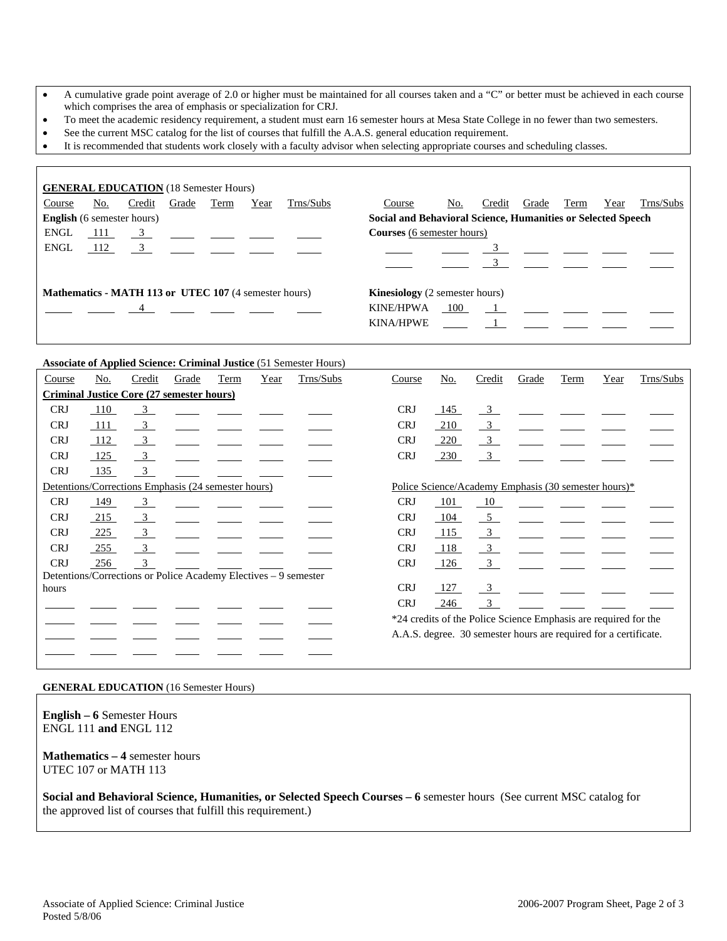- A cumulative grade point average of 2.0 or higher must be maintained for all courses taken and a "C" or better must be achieved in each course which comprises the area of emphasis or specialization for CRJ.
- To meet the academic residency requirement, a student must earn 16 semester hours at Mesa State College in no fewer than two semesters.
- See the current MSC catalog for the list of courses that fulfill the A.A.S. general education requirement.
- It is recommended that students work closely with a faculty advisor when selecting appropriate courses and scheduling classes.

| <b>GENERAL EDUCATION</b> (18 Semester Hours)                 |       |        |                                                         |      |      |           |                                       |                                                              |        |       |      |      |           |  |  |
|--------------------------------------------------------------|-------|--------|---------------------------------------------------------|------|------|-----------|---------------------------------------|--------------------------------------------------------------|--------|-------|------|------|-----------|--|--|
| Course                                                       | No.   | Credit | Grade                                                   | Term | Year | Trns/Subs | Course                                | No.                                                          | Credit | Grade | Term | Year | Trns/Subs |  |  |
| <b>English</b> (6 semester hours)                            |       |        |                                                         |      |      |           |                                       | Social and Behavioral Science, Humanities or Selected Speech |        |       |      |      |           |  |  |
| <b>ENGL</b>                                                  | 111   |        | $\frac{3}{2}$ $\frac{1}{2}$ $\frac{1}{2}$ $\frac{1}{2}$ |      |      |           | <b>Courses</b> (6 semester hours)     |                                                              |        |       |      |      |           |  |  |
| <b>ENGL</b>                                                  | - 112 |        | $\overline{3}$                                          |      |      |           |                                       |                                                              |        |       |      |      |           |  |  |
|                                                              |       |        |                                                         |      |      |           |                                       |                                                              |        |       |      |      |           |  |  |
| <b>Mathematics - MATH 113 or UTEC 107 (4 semester hours)</b> |       |        |                                                         |      |      |           | <b>Kinesiology</b> (2 semester hours) |                                                              |        |       |      |      |           |  |  |
|                                                              |       |        | $\overline{4}$                                          |      |      |           | <b>KINE/HPWA</b>                      | 100                                                          |        |       |      |      |           |  |  |
|                                                              |       |        |                                                         |      |      |           | <b>KINA/HPWE</b>                      |                                                              |        |       |      |      |           |  |  |

#### **Associate of Applied Science: Criminal Justice** (51 Semester Hours)

| Course                                              | No. | Credit                                                          | Grade | Term | Year | Trns/Subs |                                                      | Course     | No. | Credit                  | Grade | Term                                                             | Year | Trns/Subs |
|-----------------------------------------------------|-----|-----------------------------------------------------------------|-------|------|------|-----------|------------------------------------------------------|------------|-----|-------------------------|-------|------------------------------------------------------------------|------|-----------|
| <b>Criminal Justice Core (27 semester hours)</b>    |     |                                                                 |       |      |      |           |                                                      |            |     |                         |       |                                                                  |      |           |
| <b>CRJ</b>                                          | 110 | $\overline{3}$                                                  |       |      |      |           |                                                      | <b>CRJ</b> | 145 | $\frac{3}{2}$           |       |                                                                  |      |           |
| <b>CRJ</b>                                          | 111 | $\overline{\mathbf{3}}$                                         |       |      |      |           |                                                      | <b>CRJ</b> | 210 | $\overline{3}$          |       |                                                                  |      |           |
| <b>CRJ</b>                                          | 112 | $\frac{3}{2}$                                                   |       |      |      |           |                                                      | <b>CRJ</b> | 220 | $\frac{3}{2}$           |       |                                                                  |      |           |
| <b>CRJ</b>                                          | 125 | $\frac{3}{2}$                                                   |       |      |      |           |                                                      | <b>CRJ</b> | 230 | $\overline{\mathbf{3}}$ |       |                                                                  |      |           |
| <b>CRJ</b>                                          | 135 | $\overline{\phantom{0}3}$                                       |       |      |      |           |                                                      |            |     |                         |       |                                                                  |      |           |
| Detentions/Corrections Emphasis (24 semester hours) |     |                                                                 |       |      |      |           | Police Science/Academy Emphasis (30 semester hours)* |            |     |                         |       |                                                                  |      |           |
| <b>CRJ</b>                                          | 149 | $\frac{3}{2}$                                                   |       |      |      |           |                                                      | <b>CRJ</b> | 101 | 10                      |       |                                                                  |      |           |
| <b>CRJ</b>                                          | 215 | $\frac{3}{2}$                                                   |       |      |      |           |                                                      | <b>CRJ</b> | 104 | 5 <sup>5</sup>          |       |                                                                  |      |           |
| <b>CRJ</b>                                          | 225 | $\frac{3}{2}$                                                   |       |      |      |           |                                                      | <b>CRJ</b> | 115 | $\overline{\mathbf{3}}$ |       |                                                                  |      |           |
| <b>CRJ</b>                                          | 255 | $\overline{\phantom{0}3}$                                       |       |      |      |           |                                                      | <b>CRJ</b> | 118 | $\overline{3}$          |       |                                                                  |      |           |
| <b>CRJ</b>                                          | 256 | $\overline{3}$                                                  |       |      |      |           |                                                      | <b>CRJ</b> | 126 | $\overline{\mathbf{3}}$ |       |                                                                  |      |           |
|                                                     |     | Detentions/Corrections or Police Academy Electives – 9 semester |       |      |      |           |                                                      |            |     |                         |       |                                                                  |      |           |
| hours                                               |     |                                                                 |       |      |      |           |                                                      | <b>CRJ</b> | 127 | $\overline{\mathbf{3}}$ |       |                                                                  |      |           |
|                                                     |     |                                                                 |       |      |      |           |                                                      | <b>CRJ</b> | 246 | $\frac{3}{2}$           |       |                                                                  |      |           |
|                                                     |     |                                                                 |       |      |      |           |                                                      |            |     |                         |       | *24 credits of the Police Science Emphasis are required for the  |      |           |
|                                                     |     |                                                                 |       |      |      |           |                                                      |            |     |                         |       | A.A.S. degree. 30 semester hours are required for a certificate. |      |           |
|                                                     |     |                                                                 |       |      |      |           |                                                      |            |     |                         |       |                                                                  |      |           |

#### **GENERAL EDUCATION** (16 Semester Hours)

**English – 6** Semester Hours ENGL 111 **and** ENGL 112

#### **Mathematics – 4** semester hours UTEC 107 or MATH 113

**Social and Behavioral Science, Humanities, or Selected Speech Courses – 6** semester hours (See current MSC catalog for the approved list of courses that fulfill this requirement.)